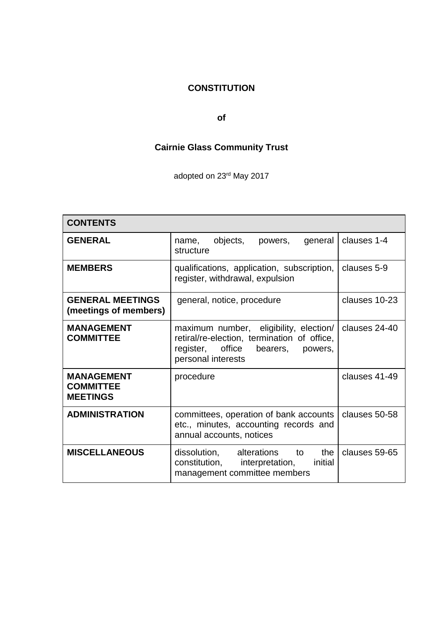## **CONSTITUTION**

### **of**

# **Cairnie Glass Community Trust**

adopted on 23rd May 2017

| <b>CONTENTS</b>                                          |                                                                                                                                                     |               |
|----------------------------------------------------------|-----------------------------------------------------------------------------------------------------------------------------------------------------|---------------|
| <b>GENERAL</b>                                           | objects,<br>general<br>powers,<br>name,<br>structure                                                                                                | clauses 1-4   |
| <b>MEMBERS</b>                                           | qualifications, application, subscription,<br>register, withdrawal, expulsion                                                                       | clauses 5-9   |
| <b>GENERAL MEETINGS</b><br>(meetings of members)         | general, notice, procedure                                                                                                                          | clauses 10-23 |
| <b>MANAGEMENT</b><br><b>COMMITTEE</b>                    | maximum number, eligibility, election/<br>retiral/re-election, termination of office,<br>register, office bearers,<br>powers,<br>personal interests | clauses 24-40 |
| <b>MANAGEMENT</b><br><b>COMMITTEE</b><br><b>MEETINGS</b> | procedure                                                                                                                                           | clauses 41-49 |
| <b>ADMINISTRATION</b>                                    | committees, operation of bank accounts<br>etc., minutes, accounting records and<br>annual accounts, notices                                         | clauses 50-58 |
| <b>MISCELLANEOUS</b>                                     | the<br>dissolution, alterations to<br>constitution, interpretation, initial<br>management committee members                                         | clauses 59-65 |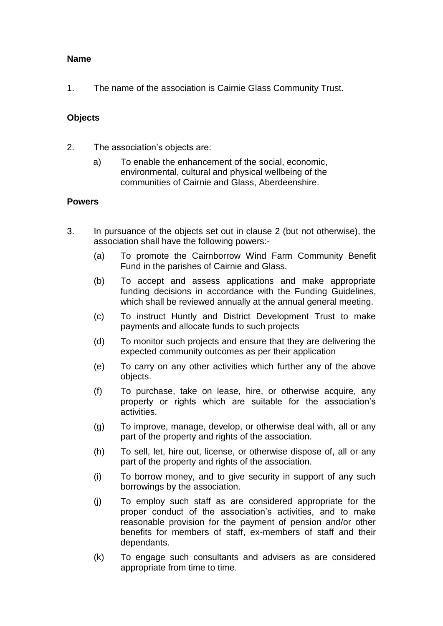### **Name**

1. The name of the association is Cairnie Glass Community Trust.

### **Objects**

- 2. The association's objects are:
	- a) To enable the enhancement of the social, economic, environmental, cultural and physical wellbeing of the communities of Cairnie and Glass, Aberdeenshire.

### **Powers**

- 3. In pursuance of the objects set out in clause 2 (but not otherwise), the association shall have the following powers:-
	- (a) To promote the Cairnborrow Wind Farm Community Benefit Fund in the parishes of Cairnie and Glass.
	- (b) To accept and assess applications and make appropriate funding decisions in accordance with the Funding Guidelines, which shall be reviewed annually at the annual general meeting.
	- (c) To instruct Huntly and District Development Trust to make payments and allocate funds to such projects
	- (d) To monitor such projects and ensure that they are delivering the expected community outcomes as per their application
	- (e) To carry on any other activities which further any of the above objects.
	- (f) To purchase, take on lease, hire, or otherwise acquire, any property or rights which are suitable for the association's activities.
	- (g) To improve, manage, develop, or otherwise deal with, all or any part of the property and rights of the association.
	- (h) To sell, let, hire out, license, or otherwise dispose of, all or any part of the property and rights of the association.
	- (i) To borrow money, and to give security in support of any such borrowings by the association.
	- (j) To employ such staff as are considered appropriate for the proper conduct of the association's activities, and to make reasonable provision for the payment of pension and/or other benefits for members of staff, ex-members of staff and their dependants.
	- (k) To engage such consultants and advisers as are considered appropriate from time to time.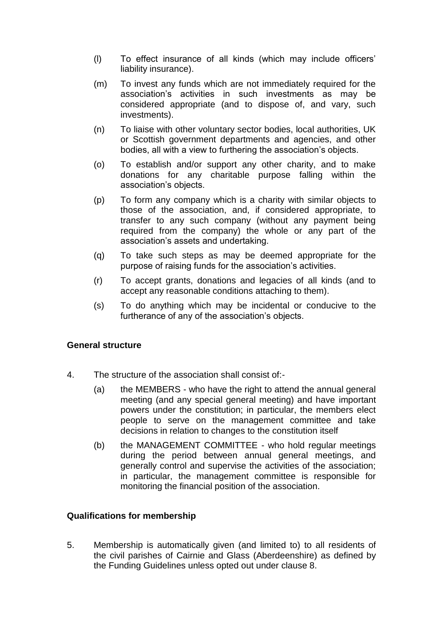- (l) To effect insurance of all kinds (which may include officers' liability insurance).
- (m) To invest any funds which are not immediately required for the association's activities in such investments as may be considered appropriate (and to dispose of, and vary, such investments).
- (n) To liaise with other voluntary sector bodies, local authorities, UK or Scottish government departments and agencies, and other bodies, all with a view to furthering the association's objects.
- (o) To establish and/or support any other charity, and to make donations for any charitable purpose falling within the association's objects.
- (p) To form any company which is a charity with similar objects to those of the association, and, if considered appropriate, to transfer to any such company (without any payment being required from the company) the whole or any part of the association's assets and undertaking.
- (q) To take such steps as may be deemed appropriate for the purpose of raising funds for the association's activities.
- (r) To accept grants, donations and legacies of all kinds (and to accept any reasonable conditions attaching to them).
- (s) To do anything which may be incidental or conducive to the furtherance of any of the association's objects.

### **General structure**

- 4. The structure of the association shall consist of:-
	- (a) the MEMBERS who have the right to attend the annual general meeting (and any special general meeting) and have important powers under the constitution; in particular, the members elect people to serve on the management committee and take decisions in relation to changes to the constitution itself
	- (b) the MANAGEMENT COMMITTEE who hold regular meetings during the period between annual general meetings, and generally control and supervise the activities of the association; in particular, the management committee is responsible for monitoring the financial position of the association.

### **Qualifications for membership**

5. Membership is automatically given (and limited to) to all residents of the civil parishes of Cairnie and Glass (Aberdeenshire) as defined by the Funding Guidelines unless opted out under clause 8.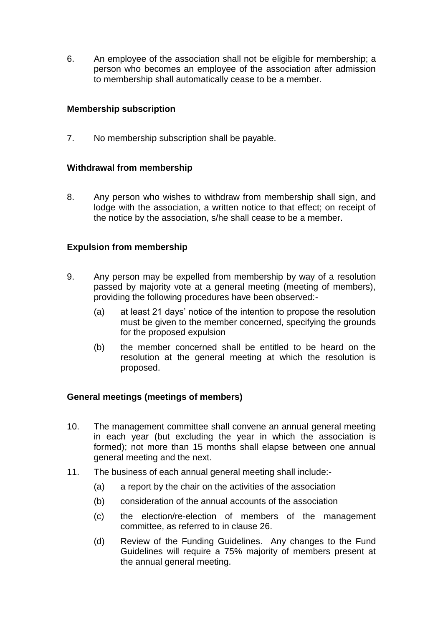6. An employee of the association shall not be eligible for membership; a person who becomes an employee of the association after admission to membership shall automatically cease to be a member.

### **Membership subscription**

7. No membership subscription shall be payable.

### **Withdrawal from membership**

8. Any person who wishes to withdraw from membership shall sign, and lodge with the association, a written notice to that effect; on receipt of the notice by the association, s/he shall cease to be a member.

### **Expulsion from membership**

- 9. Any person may be expelled from membership by way of a resolution passed by majority vote at a general meeting (meeting of members), providing the following procedures have been observed:-
	- (a) at least 21 days' notice of the intention to propose the resolution must be given to the member concerned, specifying the grounds for the proposed expulsion
	- (b) the member concerned shall be entitled to be heard on the resolution at the general meeting at which the resolution is proposed.

### **General meetings (meetings of members)**

- 10. The management committee shall convene an annual general meeting in each year (but excluding the year in which the association is formed); not more than 15 months shall elapse between one annual general meeting and the next.
- 11. The business of each annual general meeting shall include:-
	- (a) a report by the chair on the activities of the association
	- (b) consideration of the annual accounts of the association
	- (c) the election/re-election of members of the management committee, as referred to in clause 26.
	- (d) Review of the Funding Guidelines. Any changes to the Fund Guidelines will require a 75% majority of members present at the annual general meeting.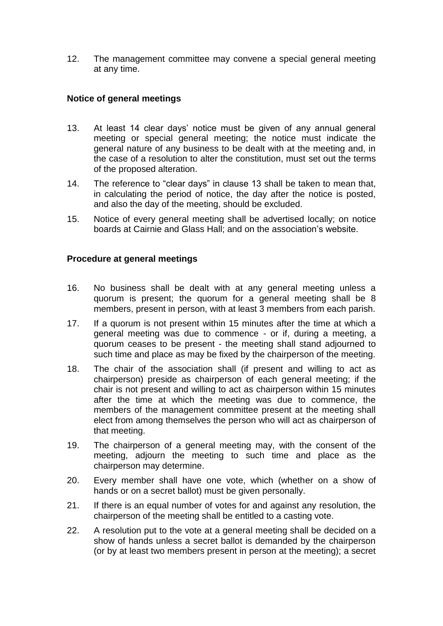12. The management committee may convene a special general meeting at any time.

### **Notice of general meetings**

- 13. At least 14 clear days' notice must be given of any annual general meeting or special general meeting; the notice must indicate the general nature of any business to be dealt with at the meeting and, in the case of a resolution to alter the constitution, must set out the terms of the proposed alteration.
- 14. The reference to "clear days" in clause 13 shall be taken to mean that, in calculating the period of notice, the day after the notice is posted, and also the day of the meeting, should be excluded.
- 15. Notice of every general meeting shall be advertised locally; on notice boards at Cairnie and Glass Hall; and on the association's website.

### **Procedure at general meetings**

- 16. No business shall be dealt with at any general meeting unless a quorum is present; the quorum for a general meeting shall be 8 members, present in person, with at least 3 members from each parish.
- 17. If a quorum is not present within 15 minutes after the time at which a general meeting was due to commence - or if, during a meeting, a quorum ceases to be present - the meeting shall stand adjourned to such time and place as may be fixed by the chairperson of the meeting.
- 18. The chair of the association shall (if present and willing to act as chairperson) preside as chairperson of each general meeting; if the chair is not present and willing to act as chairperson within 15 minutes after the time at which the meeting was due to commence, the members of the management committee present at the meeting shall elect from among themselves the person who will act as chairperson of that meeting.
- 19. The chairperson of a general meeting may, with the consent of the meeting, adjourn the meeting to such time and place as the chairperson may determine.
- 20. Every member shall have one vote, which (whether on a show of hands or on a secret ballot) must be given personally.
- 21. If there is an equal number of votes for and against any resolution, the chairperson of the meeting shall be entitled to a casting vote.
- 22. A resolution put to the vote at a general meeting shall be decided on a show of hands unless a secret ballot is demanded by the chairperson (or by at least two members present in person at the meeting); a secret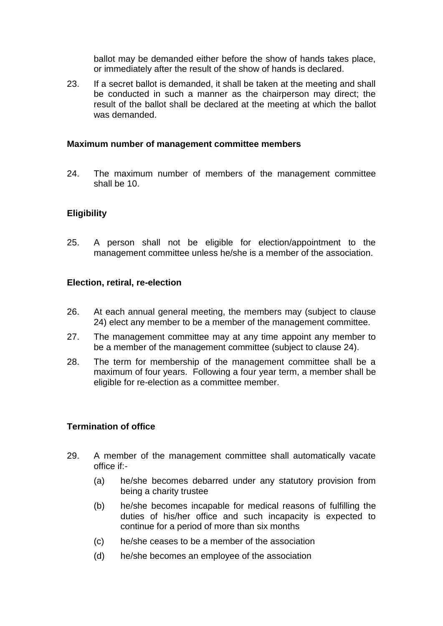ballot may be demanded either before the show of hands takes place, or immediately after the result of the show of hands is declared.

23. If a secret ballot is demanded, it shall be taken at the meeting and shall be conducted in such a manner as the chairperson may direct; the result of the ballot shall be declared at the meeting at which the ballot was demanded.

#### **Maximum number of management committee members**

24. The maximum number of members of the management committee shall be 10.

### **Eligibility**

25. A person shall not be eligible for election/appointment to the management committee unless he/she is a member of the association.

#### **Election, retiral, re-election**

- 26. At each annual general meeting, the members may (subject to clause 24) elect any member to be a member of the management committee.
- 27. The management committee may at any time appoint any member to be a member of the management committee (subject to clause 24).
- 28. The term for membership of the management committee shall be a maximum of four years. Following a four year term, a member shall be eligible for re-election as a committee member.

### **Termination of office**

- 29. A member of the management committee shall automatically vacate office if:-
	- (a) he/she becomes debarred under any statutory provision from being a charity trustee
	- (b) he/she becomes incapable for medical reasons of fulfilling the duties of his/her office and such incapacity is expected to continue for a period of more than six months
	- (c) he/she ceases to be a member of the association
	- (d) he/she becomes an employee of the association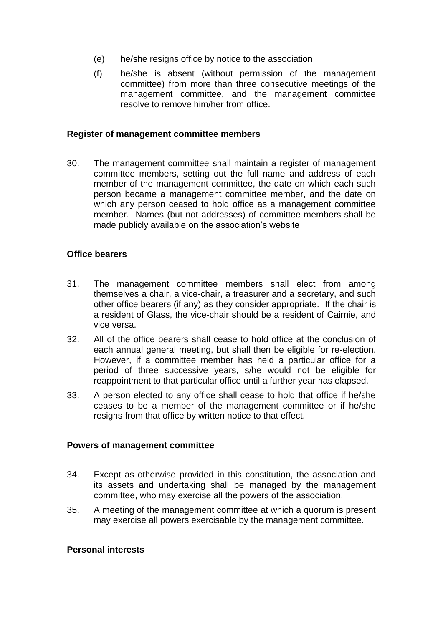- (e) he/she resigns office by notice to the association
- (f) he/she is absent (without permission of the management committee) from more than three consecutive meetings of the management committee, and the management committee resolve to remove him/her from office.

#### **Register of management committee members**

30. The management committee shall maintain a register of management committee members, setting out the full name and address of each member of the management committee, the date on which each such person became a management committee member, and the date on which any person ceased to hold office as a management committee member. Names (but not addresses) of committee members shall be made publicly available on the association's website

#### **Office bearers**

- 31. The management committee members shall elect from among themselves a chair, a vice-chair, a treasurer and a secretary, and such other office bearers (if any) as they consider appropriate. If the chair is a resident of Glass, the vice-chair should be a resident of Cairnie, and vice versa.
- 32. All of the office bearers shall cease to hold office at the conclusion of each annual general meeting, but shall then be eligible for re-election. However, if a committee member has held a particular office for a period of three successive years, s/he would not be eligible for reappointment to that particular office until a further year has elapsed.
- 33. A person elected to any office shall cease to hold that office if he/she ceases to be a member of the management committee or if he/she resigns from that office by written notice to that effect.

#### **Powers of management committee**

- 34. Except as otherwise provided in this constitution, the association and its assets and undertaking shall be managed by the management committee, who may exercise all the powers of the association.
- 35. A meeting of the management committee at which a quorum is present may exercise all powers exercisable by the management committee.

#### **Personal interests**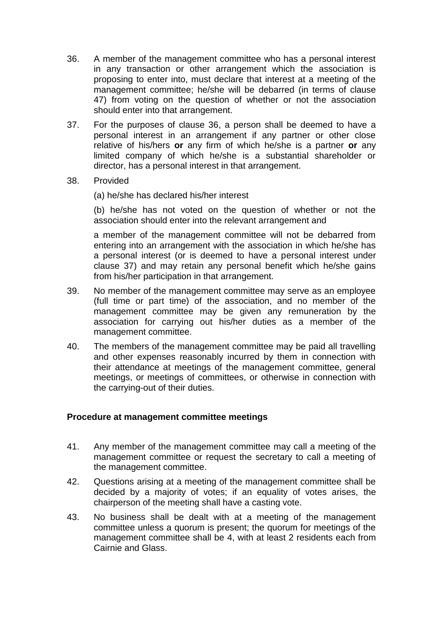- 36. A member of the management committee who has a personal interest in any transaction or other arrangement which the association is proposing to enter into, must declare that interest at a meeting of the management committee; he/she will be debarred (in terms of clause 47) from voting on the question of whether or not the association should enter into that arrangement.
- 37. For the purposes of clause 36, a person shall be deemed to have a personal interest in an arrangement if any partner or other close relative of his/hers **or** any firm of which he/she is a partner **or** any limited company of which he/she is a substantial shareholder or director, has a personal interest in that arrangement.
- 38. Provided

(a) he/she has declared his/her interest

(b) he/she has not voted on the question of whether or not the association should enter into the relevant arrangement and

a member of the management committee will not be debarred from entering into an arrangement with the association in which he/she has a personal interest (or is deemed to have a personal interest under clause 37) and may retain any personal benefit which he/she gains from his/her participation in that arrangement.

- 39. No member of the management committee may serve as an employee (full time or part time) of the association, and no member of the management committee may be given any remuneration by the association for carrying out his/her duties as a member of the management committee.
- 40. The members of the management committee may be paid all travelling and other expenses reasonably incurred by them in connection with their attendance at meetings of the management committee, general meetings, or meetings of committees, or otherwise in connection with the carrying-out of their duties.

### **Procedure at management committee meetings**

- 41. Any member of the management committee may call a meeting of the management committee or request the secretary to call a meeting of the management committee.
- 42. Questions arising at a meeting of the management committee shall be decided by a majority of votes; if an equality of votes arises, the chairperson of the meeting shall have a casting vote.
- 43. No business shall be dealt with at a meeting of the management committee unless a quorum is present; the quorum for meetings of the management committee shall be 4, with at least 2 residents each from Cairnie and Glass.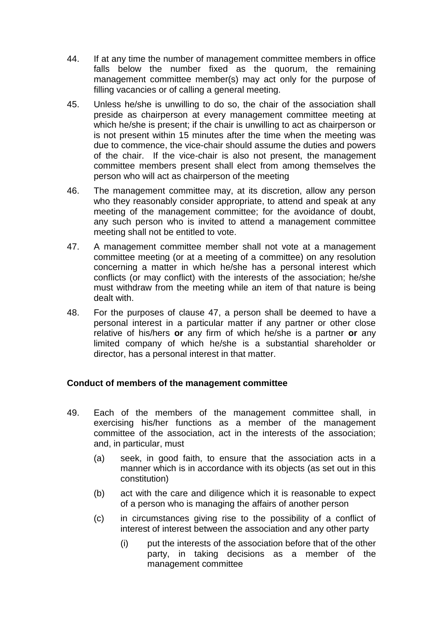- 44. If at any time the number of management committee members in office falls below the number fixed as the quorum, the remaining management committee member(s) may act only for the purpose of filling vacancies or of calling a general meeting.
- 45. Unless he/she is unwilling to do so, the chair of the association shall preside as chairperson at every management committee meeting at which he/she is present; if the chair is unwilling to act as chairperson or is not present within 15 minutes after the time when the meeting was due to commence, the vice-chair should assume the duties and powers of the chair. If the vice-chair is also not present, the management committee members present shall elect from among themselves the person who will act as chairperson of the meeting
- 46. The management committee may, at its discretion, allow any person who they reasonably consider appropriate, to attend and speak at any meeting of the management committee; for the avoidance of doubt, any such person who is invited to attend a management committee meeting shall not be entitled to vote.
- 47. A management committee member shall not vote at a management committee meeting (or at a meeting of a committee) on any resolution concerning a matter in which he/she has a personal interest which conflicts (or may conflict) with the interests of the association; he/she must withdraw from the meeting while an item of that nature is being dealt with.
- 48. For the purposes of clause 47, a person shall be deemed to have a personal interest in a particular matter if any partner or other close relative of his/hers **or** any firm of which he/she is a partner **or** any limited company of which he/she is a substantial shareholder or director, has a personal interest in that matter.

### **Conduct of members of the management committee**

- 49. Each of the members of the management committee shall, in exercising his/her functions as a member of the management committee of the association, act in the interests of the association; and, in particular, must
	- (a) seek, in good faith, to ensure that the association acts in a manner which is in accordance with its objects (as set out in this constitution)
	- (b) act with the care and diligence which it is reasonable to expect of a person who is managing the affairs of another person
	- (c) in circumstances giving rise to the possibility of a conflict of interest of interest between the association and any other party
		- (i) put the interests of the association before that of the other party, in taking decisions as a member of the management committee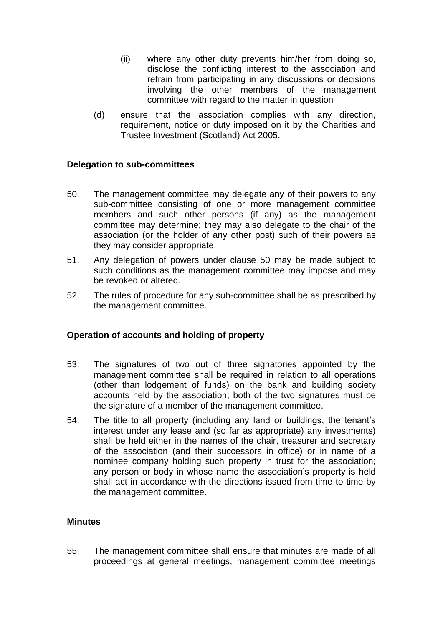- (ii) where any other duty prevents him/her from doing so, disclose the conflicting interest to the association and refrain from participating in any discussions or decisions involving the other members of the management committee with regard to the matter in question
- (d) ensure that the association complies with any direction, requirement, notice or duty imposed on it by the Charities and Trustee Investment (Scotland) Act 2005.

### **Delegation to sub-committees**

- 50. The management committee may delegate any of their powers to any sub-committee consisting of one or more management committee members and such other persons (if any) as the management committee may determine; they may also delegate to the chair of the association (or the holder of any other post) such of their powers as they may consider appropriate.
- 51. Any delegation of powers under clause 50 may be made subject to such conditions as the management committee may impose and may be revoked or altered.
- 52. The rules of procedure for any sub-committee shall be as prescribed by the management committee.

### **Operation of accounts and holding of property**

- 53. The signatures of two out of three signatories appointed by the management committee shall be required in relation to all operations (other than lodgement of funds) on the bank and building society accounts held by the association; both of the two signatures must be the signature of a member of the management committee.
- 54. The title to all property (including any land or buildings, the tenant's interest under any lease and (so far as appropriate) any investments) shall be held either in the names of the chair, treasurer and secretary of the association (and their successors in office) or in name of a nominee company holding such property in trust for the association; any person or body in whose name the association's property is held shall act in accordance with the directions issued from time to time by the management committee.

### **Minutes**

55. The management committee shall ensure that minutes are made of all proceedings at general meetings, management committee meetings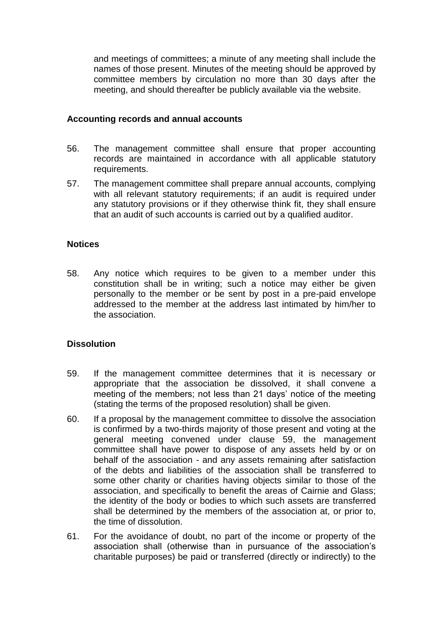and meetings of committees; a minute of any meeting shall include the names of those present. Minutes of the meeting should be approved by committee members by circulation no more than 30 days after the meeting, and should thereafter be publicly available via the website.

#### **Accounting records and annual accounts**

- 56. The management committee shall ensure that proper accounting records are maintained in accordance with all applicable statutory requirements.
- 57. The management committee shall prepare annual accounts, complying with all relevant statutory requirements; if an audit is required under any statutory provisions or if they otherwise think fit, they shall ensure that an audit of such accounts is carried out by a qualified auditor.

### **Notices**

58. Any notice which requires to be given to a member under this constitution shall be in writing; such a notice may either be given personally to the member or be sent by post in a pre-paid envelope addressed to the member at the address last intimated by him/her to the association.

### **Dissolution**

- 59. If the management committee determines that it is necessary or appropriate that the association be dissolved, it shall convene a meeting of the members; not less than 21 days' notice of the meeting (stating the terms of the proposed resolution) shall be given.
- 60. If a proposal by the management committee to dissolve the association is confirmed by a two-thirds majority of those present and voting at the general meeting convened under clause 59, the management committee shall have power to dispose of any assets held by or on behalf of the association - and any assets remaining after satisfaction of the debts and liabilities of the association shall be transferred to some other charity or charities having objects similar to those of the association, and specifically to benefit the areas of Cairnie and Glass; the identity of the body or bodies to which such assets are transferred shall be determined by the members of the association at, or prior to, the time of dissolution.
- 61. For the avoidance of doubt, no part of the income or property of the association shall (otherwise than in pursuance of the association's charitable purposes) be paid or transferred (directly or indirectly) to the